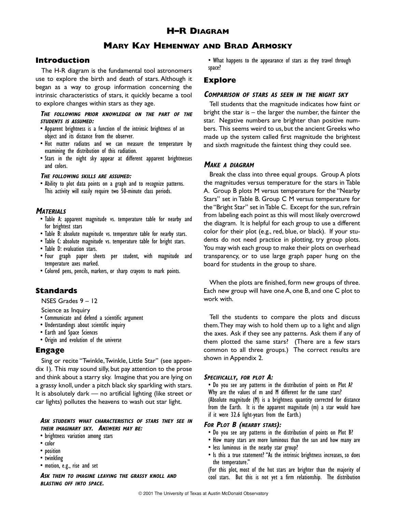# **MARY KAY HEMENWAY AND BRAD ARMOSKY**

# **Introduction**

The H-R diagram is the fundamental tool astronomers use to explore the birth and death of stars. Although it began as a way to group information concerning the intrinsic characteristics of stars, it quickly became a tool to explore changes within stars as they age.

**THE FOLLOWING PRIOR KNOWLEDGE ON THE PART OF THE STUDENTS IS ASSUMED:**

- Apparent brightness is a function of the intrinsic brightness of an object and its distance from the observer.
- Hot matter radiates and we can measure the temperature by examining the distribution of this radiation.
- Stars in the night sky appear at different apparent brightnesses and colors.

### **THE FOLLOWING SKILLS ARE ASSUMED:**

• Ability to plot data points on a graph and to recognize patterns. This activity will easily require two 50-minute class periods.

# **MATERIALS**

- Table A: apparent magnitude vs. temperature table for nearby and for brightest stars
- Table B: absolute magnitude vs. temperature table for nearby stars.
- Table C: absolute magnitude vs. temperature table for bright stars.
- Table D: evaluation stars.
- Four graph paper sheets per student, with magnitude and temperature axes marked.
- Colored pens, pencils, markers, or sharp crayons to mark points.

# **Standards**

NSES Grades 9 – 12

Science as Inquiry

- Communicate and defend a scientific argument
- Understandings about scientific inquiry
- Earth and Space Sciences
- Origin and evolution of the universe

# **Engage**

Sing or recite "Twinkle,Twinkle, Little Star" (see appendix 1). This may sound silly, but pay attention to the prose and think about a starry sky. Imagine that you are lying on a grassy knoll, under a pitch black sky sparkling with stars. It is absolutely dark — no artificial lighting (like street or car lights) pollutes the heavens to wash out star light.

## **ASK STUDENTS WHAT CHARACTERISTICS OF STARS THEY SEE IN THEIR IMAGINARY SKY. ANSWERS MAY BE:**

- brightness variation among stars
- color
- position
- twinkling
- motion, e.g., rise and set

**ASK THEM TO IMAGINE LEAVING THE GRASSY KNOLL AND BLASTING OFF INTO SPACE.**

• What happens to the appearance of stars as they travel through space?

# **Explore**

# **COMPARISON OF STARS AS SEEN IN THE NIGHT SKY**

Tell students that the magnitude indicates how faint or bright the star is  $-$  the larger the number, the fainter the star. Negative numbers are brighter than positive numbers. This seems weird to us, but the ancient Greeks who made up the system called first magnitude the brightest and sixth magnitude the faintest thing they could see.

# **MAKE A DIAGRAM**

Break the class into three equal groups. Group A plots the magnitudes versus temperature for the stars in Table A. Group B plots M versus temperature for the "Nearby Stars" set in Table B. Group C M versus temperature for the "Bright Star" set in Table C. Except for the sun, refrain from labeling each point as this will most likely overcrowd the diagram. It is helpful for each group to use a different color for their plot (e.g., red, blue, or black). If your students do not need practice in plotting, try group plots. You may wish each group to make their plots on overhead transparency, or to use large graph paper hung on the board for students in the group to share.

When the plots are finished, form new groups of three. Each new group will have one A, one B, and one C plot to work with.

Tell the students to compare the plots and discuss them.They may wish to hold them up to a light and align the axes. Ask if they see any patterns. Ask them if any of them plotted the same stars? (There are a few stars common to all three groups.) The correct results are shown in Appendix 2.

# **SPECIFICALLY, FOR PLOT A:**

• Do you see any patterns in the distribution of points on Plot A? Why are the values of m and M different for the same stars? (Absolute magnitude (M) is a brightness quantity corrected for distance from the Earth. It is the apparent magnitude (m) a star would have if it were 32.6 light-years from the Earth.)

# **FOR PLOT B (NEARBY STARS):**

- Do you see any patterns in the distribution of points on Plot B?
- How many stars are more luminous than the sun and how many are
- less luminous in the nearby star group?
- Is this a true statement? "As the intrinsic brightness increases, so does the temperature."

(For this plot, most of the hot stars are brighter than the majority of cool stars. But this is not yet a firm relationship. The distribution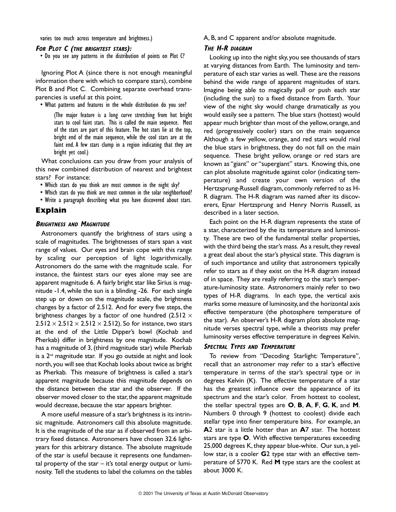varies too much across temperature and brightness.)

### **FOR PLOT C (THE BRIGHTEST STARS):**

• Do you see any patterns in the distribution of points on Plot C?

Ignoring Plot A (since there is not enough meaningful information there with which to compare stars), combine Plot B and Plot C. Combining separate overhead transparencies is useful at this point.

• What patterns and features in the whole distribution do you see?

(The major feature is a long curve stretching from hot bright stars to cool faint stars. This is called the main sequence. Most of the stars are part of this feature. The hot stars lie at the top, bright end of the main sequence, while the cool stars are at the faint end. A few stars clump in a region indicating that they are bright yet cool.)

What conclusions can you draw from your analysis of this new combined distribution of nearest and brightest stars? For instance:

- Which stars do you think are most common in the night sky?
- Which stars do you think are most common in the solar neighborhood?
- Write a paragraph describing what you have discovered about stars.

# **Explain**

## **BRIGHTNESS AND MAGNITUDE**

Astronomers quantify the brightness of stars using a scale of magnitudes. The brightnesses of stars span a vast range of values. Our eyes and brain cope with this range by scaling our perception of light logarithmically. Astronomers do the same with the magnitude scale. For instance, the faintest stars our eyes alone may see are apparent magnitude 6. A fairly bright star like Sirius is magnitude -1.4, while the sun is a blinding -26. For each single step up or down on the magnitude scale, the brightness changes by a factor of 2.512. And for every five steps, the brightness changes by a factor of one hundred (2.512  $\times$  $2.512 \times 2.512 \times 2.512 \times 2.512$ ). So for instance, two stars at the end of the Little Dipper's bowl (Kochab and Pherkab) differ in brightness by one magnitude. Kochab has a magnitude of 3, (third magnitude star) while Pherkab is a  $2<sup>nd</sup>$  magnitude star. If you go outside at night and look north,you will see that Kochab looks about twice as bright as Pherkab. This measure of brightness is called a star's apparent magnitude because this magnitude depends on the distance between the star and the observer. If the observer moved closer to the star, the apparent magnitude would decrease, because the star appears brighter.

A more useful measure of a star's brightness is its intrinsic magnitude. Astronomers call this absolute magnitude. It is the magnitude of the star as if observed from an arbitrary fixed distance. Astronomers have chosen 32.6 lightyears for this arbitrary distance. The absolute magnitude of the star is useful because it represents one fundamental property of the star  $-$  it's total energy output or luminosity. Tell the students to label the columns on the tables

#### A, B, and C apparent and/or absolute magnitude.

## **THE H-R DIAGRAM**

Looking up into the night sky,you see thousands of stars at varying distances from Earth. The luminosity and temperature of each star varies as well. These are the reasons behind the wide range of apparent magnitudes of stars. Imagine being able to magically pull or push each star (including the sun) to a fixed distance from Earth. Your view of the night sky would change dramatically as you would easily see a pattern. The blue stars (hottest) would appear much brighter than most of the yellow, orange, and red (progressively cooler) stars on the main sequence Although a few yellow, orange, and red stars would rival the blue stars in brightness, they do not fall on the main sequence. These bright yellow, orange or red stars are known as "giant" or "supergiant" stars. Knowing this, one can plot absolute magnitude against color (indicating temperature) and create your own version of the Hertzsprung-Russell diagram, commonly referred to as H-R diagram. The H-R diagram was named after its discoverers, Ejnar Hertzsprung and Henry Norris Russell, as described in a later section.

Each point on the H-R diagram represents the state of a star, characterized by the its temperature and luminosity. These are two of the fundamental stellar properties, with the third being the star's mass. As a result, they reveal a great deal about the star's physical state. This diagram is of such importance and utility that astronomers typically refer to stars as if they exist on the H-R diagram instead of in space. They are really referring to the star's temperature-luminosity state. Astronomers mainly refer to two types of H-R diagrams. In each type, the vertical axis marks some measure of luminosity,and the horizontal axis effective temperature (the photosphere temperature of the star). An observer's H-R diagram plots absolute magnitude verses spectral type, while a theorists may prefer luminosity verses effective temperature in degrees Kelvin.

## **SPECTRAL TYPES AND TEMPERATURE**

To review from "Decoding Starlight: Temperature", recall that an astronomer may refer to a star's effective temperature in terms of the star's spectral type or in degrees Kelvin (K). The effective temperature of a star has the greatest influence over the appearance of its spectrum and the star's color. From hottest to coolest, the stellar spectral types are **O**, **B**, **A**, **F**, **G**, **K**, and **M**. Numbers 0 through 9 (hottest to coolest) divide each stellar type into finer temperature bins. For example, an **A**2 star is a little hotter than an **A**7 star. The hottest stars are type **O**. With effective temperatures exceeding 25,000 degrees K, they appear blue-white. Our sun, a yellow star, is a cooler **G**2 type star with an effective temperature of 5770 K. Red **M** type stars are the coolest at about 3000 K.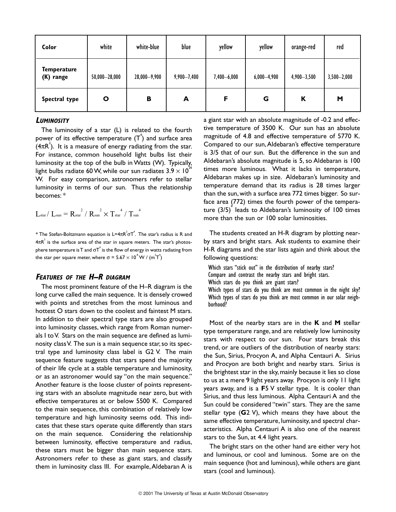| Color                           | white             | white-blue       | blue            | yellow      | yellow          | orange-red      | red             |
|---------------------------------|-------------------|------------------|-----------------|-------------|-----------------|-----------------|-----------------|
| <b>Temperature</b><br>(K) range | $50,000 - 28,000$ | $28,000 - 9,900$ | $9,900 - 7,400$ | 7,400-6,000 | $6,000 - 4,900$ | $4,900 - 3,500$ | $3,500 - 2,000$ |
| Spectral type                   | Ο                 | в                | A               | F           | G               | ĸ               | M               |

## **LUMINOSITY**

The luminosity of a star (L) is related to the fourth power of its effective temperature  $(T^4)$  and surface area  $(A\pi R^2)$ . It is a measure of energy radiating from the star. For instance, common household light bulbs list their luminosity at the top of the bulb in Watts (W). Typically, light bulbs radiate 60 W, while our sun radiates  $3.9 \times 10^{2}$ W. For easy comparison, astronomers refer to stellar luminosity in terms of our sun. Thus the relationship becomes: \*

$$
L_{\text{star}}/\ L_{\text{sun}} = {R_{\text{star}}}^2/\ R_{\text{sun}}^2 \times {T_{\text{star}}}^4/\ {T_{\text{sun}}}^4
$$

\* The Stefan-Boltzmann equation is  $\text{L=4}\pi \text{R}^2 \sigma \text{T}^4$ . The star's radius is R and  $4\pi$ R $^2$  is the surface area of the star in square meters. The star's photosphere temperature is T and  $\sigma\textsf{T}^4$  is the flow of energy in watts radiating from the star per square meter, where σ = 5.67  $\times$  10  $^{\circ}$  W / (m $^2$ T $^{\circ}$ )

# **FEATURES OF THE H–R DIAGRAM**

The most prominent feature of the H–R diagram is the long curve called the main sequence. It is densely crowed with points and stretches from the most luminous and hottest O stars down to the coolest and faintest M stars. In addition to their spectral type stars are also grouped into luminosity classes, which range from Roman numerals I to V. Stars on the main sequence are defined as luminosity class V. The sun is a main sequence star, so its spectral type and luminosity class label is G2 V. The main sequence feature suggests that stars spend the majority of their life cycle at a stable temperature and luminosity, or as an astronomer would say "on the main sequence." Another feature is the loose cluster of points representing stars with an absolute magnitude near zero, but with effective temperatures at or below 5500 K. Compared to the main sequence, this combination of relatively low temperature and high luminosity seems odd. This indicates that these stars operate quite differently than stars on the main sequence. Considering the relationship between luminosity, effective temperature and radius, these stars must be bigger than main sequence stars. Astronomers refer to these as giant stars, and classify them in luminosity class III. For example,Aldebaran A is

a giant star with an absolute magnitude of -0.2 and effective temperature of 3500 K. Our sun has an absolute magnitude of 4.8 and effective temperature of 5770 K. Compared to our sun,Aldebaran's effective temperature is 3/5 that of our sun. But the difference in the sun and Aldebaran's absolute magnitude is 5, so Aldebaran is 100 times more luminous. What it lacks in temperature, Aldebaran makes up in size. Aldebaran's luminosity and temperature demand that its radius is 28 times larger than the sun, with a surface area 772 times bigger. So surface area (772) times the fourth power of the temperature  $\left(3/5\right)^4$  leads to Aldebaran's luminosity of 100 times more than the sun or 100 solar luminosities.

The students created an H-R diagram by plotting nearby stars and bright stars. Ask students to examine their H-R diagrams and the star lists again and think about the following questions:

Which stars "stick out" in the distribution of nearby stars? Compare and contrast the nearby stars and bright stars. Which stars do you think are giant stars? Which types of stars do you think are most common in the night sky? Which types of stars do you think are most common in our solar neighborhood?

Most of the nearby stars are in the **K** and **M** stellar type temperature range, and are relatively low luminosity stars with respect to our sun. Four stars break this trend, or are outliers of the distribution of nearby stars: the Sun, Sirius, Procyon A, and Alpha Centauri A. Sirius and Procyon are both bright and nearby stars. Sirius is the brightest star in the sky,mainly because it lies so close to us at a mere 9 light years away. Procyon is only 11 light years away, and is a **F**5 V stellar type. It is cooler than Sirius, and thus less luminous. Alpha Centauri A and the Sun could be considered "twin" stars. They are the same stellar type (**G**2 V), which means they have about the same effective temperature, luminosity, and spectral characteristics. Alpha Centauri A is also one of the nearest stars to the Sun, at 4.4 light years.

The bright stars on the other hand are either very hot and luminous, or cool and luminous. Some are on the main sequence (hot and luminous), while others are giant stars (cool and luminous).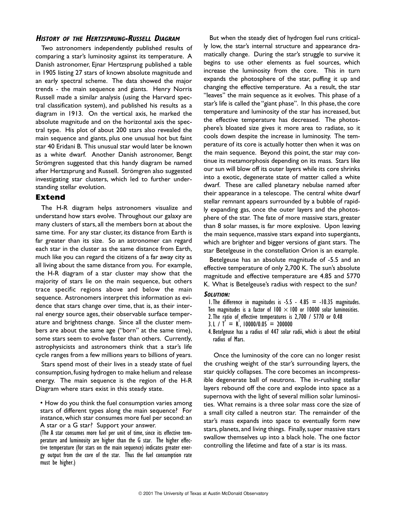# **HISTORY OF THE HERTZSPRUNG-RUSSELL DIAGRAM**

Two astronomers independently published results of comparing a star's luminosity against its temperature. A Danish astronomer, Ejnar Hertzsprung published a table in 1905 listing 27 stars of known absolute magnitude and an early spectral scheme. The data showed the major trends - the main sequence and giants. Henry Norris Russell made a similar analysis (using the Harvard spectral classification system), and published his results as a diagram in 1913. On the vertical axis, he marked the absolute magnitude and on the horizontal axis the spectral type. His plot of about 200 stars also revealed the main sequence and giants, plus one unusual hot but faint star 40 Eridani B. This unusual star would later be known as a white dwarf. Another Danish astronomer, Bengt Strömgren suggested that this handy diagram be named after Hertzsprung and Russell. Strömgren also suggested investigating star clusters, which led to further understanding stellar evolution.

# **Extend**

The H-R diagram helps astronomers visualize and understand how stars evolve. Throughout our galaxy are many clusters of stars, all the members born at about the same time. For any star cluster, its distance from Earth is far greater than its size. So an astronomer can regard each star in the cluster as the same distance from Earth, much like you can regard the citizens of a far away city as all living about the same distance from you. For example, the H-R diagram of a star cluster may show that the majority of stars lie on the main sequence, but others trace specific regions above and below the main sequence. Astronomers interpret this information as evidence that stars change over time, that is, as their internal energy source ages, their observable surface temperature and brightness change. Since all the cluster members are about the same age ("born" at the same time), some stars seem to evolve faster than others. Currently, astrophysicists and astronomers think that a star's life cycle ranges from a few millions years to billions of years.

Stars spend most of their lives in a steady state of fuel consumption, fusing hydrogen to make helium and release energy. The main sequence is the region of the H-R Diagram where stars exist in this steady state.

• How do you think the fuel consumption varies among stars of different types along the main sequence? For instance, which star consumes more fuel per second: an A star or a G star? Support your answer.

(The A star consumes more fuel per unit of time, since its effective temperature and luminosity are higher than the G star. The higher effective temperature (for stars on the main sequence) indicates greater energy output from the core of the star. Thus the fuel consumption rate must be higher.)

But when the steady diet of hydrogen fuel runs critically low, the star's internal structure and appearance dramatically change. During the star's struggle to survive it begins to use other elements as fuel sources, which increase the luminosity from the core. This in turn expands the photosphere of the star, puffing it up and changing the effective temperature. As a result, the star "leaves" the main sequence as it evolves. This phase of a star's life is called the "giant phase". In this phase, the core temperature and luminosity of the star has increased, but the effective temperature has decreased. The photosphere's bloated size gives it more area to radiate, so it cools down despite the increase in luminosity. The temperature of its core is actually hotter then when it was on the main sequence. Beyond this point, the star may continue its metamorphosis depending on its mass. Stars like our sun will blow off its outer layers while its core shrinks into a exotic, degenerate state of matter called a white dwarf. These are called planetary nebulae named after their appearance in a telescope. The central white dwarf stellar remnant appears surrounded by a bubble of rapidly expanding gas, once the outer layers and the photosphere of the star. The fate of more massive stars, greater than 8 solar masses, is far more explosive. Upon leaving the main sequence, massive stars expand into supergiants, which are brighter and bigger versions of giant stars. The star Betelgeuse in the constellation Orion is an example.

Betelgeuse has an absolute magnitude of -5.5 and an effective temperature of only 2,700 K. The sun's absolute magnitude and effective temperature are 4.85 and 5770 K. What is Betelgeuse's radius with respect to the sun?

## **SOLUTION:**

- 1. The difference in magnitudes is  $-5.5 4.85 = -10.35$  magnitudes. Ten magnitudes is a factor of  $100 \times 100$  or 10000 solar luminosities.
- 2.The ratio of effective temperatures is 2,700 / 5770 or 0.48
- 3.L /  $T^4 = R^2$ , 10000/0.05 = 200000
- 4.Betelgeuse has a radius of 447 solar radii, which is about the orbital radius of Mars.

Once the luminosity of the core can no longer resist the crushing weight of the star's surrounding layers, the star quickly collapses. The core becomes an incompressible degenerate ball of neutrons. The in-rushing stellar layers rebound off the core and explode into space as a supernova with the light of several million solar luminosities. What remains is a three solar mass core the size of a small city called a neutron star. The remainder of the star's mass expands into space to eventually form new stars, planets, and living things. Finally, super massive stars swallow themselves up into a black hole. The one factor controlling the lifetime and fate of a star is its mass.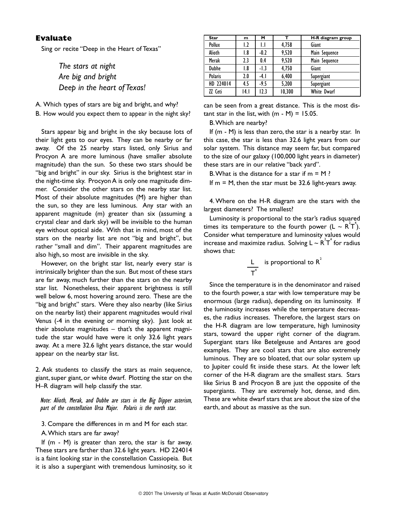# **Evaluate**

Sing or recite "Deep in the Heart of Texas"

*The stars at night Are big and bright Deep in the heart of Texas!*

A. Which types of stars are big and bright, and why?

B. How would you expect them to appear in the night sky?

Stars appear big and bright in the sky because lots of their light gets to our eyes. They can be nearby or far away. Of the 25 nearby stars listed, only Sirius and Procyon A are more luminous (have smaller absolute magnitude) than the sun. So these two stars should be "big and bright" in our sky. Sirius is the brightest star in the night-time sky. Procyon A is only one magnitude dimmer. Consider the other stars on the nearby star list. Most of their absolute magnitudes (M) are higher than the sun, so they are less luminous. Any star with an apparent magnitude (m) greater than six (assuming a crystal clear and dark sky) will be invisible to the human eye without optical aide. With that in mind, most of the stars on the nearby list are not "big and bright", but rather "small and dim". Their apparent magnitudes are also high, so most are invisible in the sky.

However, on the bright star list, nearly every star is intrinsically brighter than the sun. But most of these stars are far away, much further than the stars on the nearby star list. Nonetheless, their apparent brightness is still well below 6, most hovering around zero. These are the "big and bright" stars. Were they also nearby (like Sirius on the nearby list) their apparent magnitudes would rival Venus (-4 in the evening or morning sky). Just look at their absolute magnitudes – that's the apparent magnitude the star would have were it only 32.6 light years away. At a mere 32.6 light years distance, the star would appear on the nearby star list.

2. Ask students to classify the stars as main sequence, giant, super giant, or white dwarf. Plotting the star on the H–R diagram will help classify the star.

Note: Alioth, Merak, and Dubhe are stars in the Big Dipper asterism, part of the constellation Ursa Major. Polaris is the north star.

3. Compare the differences in m and M for each star.

A.Which stars are far away?

If (m - M) is greater than zero, the star is far away. These stars are farther than 32.6 light years. HD 224014 is a faint looking star in the constellation Cassiopeia. But it is also a supergiant with tremendous luminosity, so it

| <b>Star</b>    | m    | м      |        | H-R diagram group |
|----------------|------|--------|--------|-------------------|
| Pollux         | 1.2  | IJ     | 4,758  | Giant             |
| Alioth         | 1.8  | $-0.2$ | 9,520  | Main Sequence     |
| Merak          | 2.3  | 0.4    | 9.520  | Main Sequence     |
| <b>Dubhe</b>   | 1.8  | $-1.3$ | 4,750  | Giant             |
| <b>Polaris</b> | 2.0  | $-4.1$ | 6,400  | Supergiant        |
| HD 224014      | 4.5  | -9.5   | 5,200  | Supergiant        |
| ZZ Ceti        | 14.I | 12.3   | 10,300 | White Dwarf       |

can be seen from a great distance. This is the most distant star in the list, with  $(m - M) = 15.05$ .

B.Which are nearby?

If (m - M) is less than zero, the star is a nearby star. In this case, the star is less than 32.6 light years from our solar system. This distance may seem far, but compared to the size of our galaxy (100,000 light years in diameter) these stars are in our relative "back yard".

B. What is the distance for a star if  $m = M$ ?

If  $m = M$ , then the star must be 32.6 light-years away.

4. Where on the H-R diagram are the stars with the largest diameters? The smallest?

Luminosity is proportional to the star's radius squared times its temperature to the fourth power (L ~  $R^2T^4$ ). Consider what temperature and luminosity values would increase and maximize radius. Solving  $\mathsf{L}\sim \mathsf{R}^2\mathsf{T}^4$  for radius shows that:

$$
\frac{L}{T^4}
$$
 is proportional to R<sup>2</sup>

Since the temperature is in the denominator and raised to the fourth power, a star with low temperature may be enormous (large radius), depending on its luminosity. If the luminosity increases while the temperature decreases, the radius increases. Therefore, the largest stars on the H-R diagram are low temperature, high luminosity stars, toward the upper right corner of the diagram. Supergiant stars like Betelgeuse and Antares are good examples. They are cool stars that are also extremely luminous. They are so bloated, that our solar system up to Jupiter could fit inside these stars. At the lower left corner of the H-R diagram are the smallest stars. Stars like Sirius B and Procyon B are just the opposite of the supergiants. They are extremely hot, dense, and dim. These are white dwarf stars that are about the size of the earth, and about as massive as the sun.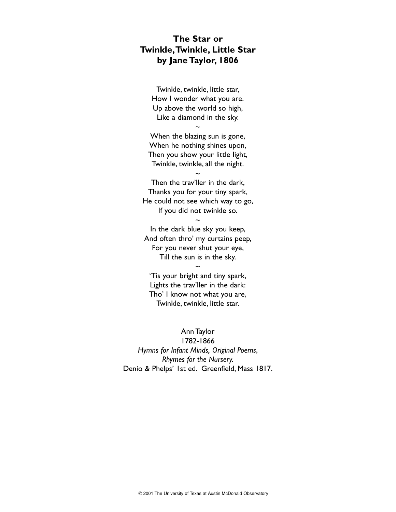# **The Star or Twinkle,Twinkle, Little Star by Jane Taylor, 1806**

Twinkle, twinkle, little star, How I wonder what you are. Up above the world so high, Like a diamond in the sky.

~

When the blazing sun is gone, When he nothing shines upon, Then you show your little light, Twinkle, twinkle, all the night.

~

Then the trav'ller in the dark, Thanks you for your tiny spark, He could not see which way to go, If you did not twinkle so.

In the dark blue sky you keep, And often thro' my curtains peep, For you never shut your eye, Till the sun is in the sky.

~

'Tis your bright and tiny spark, Lights the trav'ller in the dark: Tho' I know not what you are, Twinkle, twinkle, little star.

~

Ann Taylor 1782-1866 *Hymns for Infant Minds, Original Poems*, *Rhymes for the Nursery.* Denio & Phelps' 1st ed. Greenfield, Mass 1817.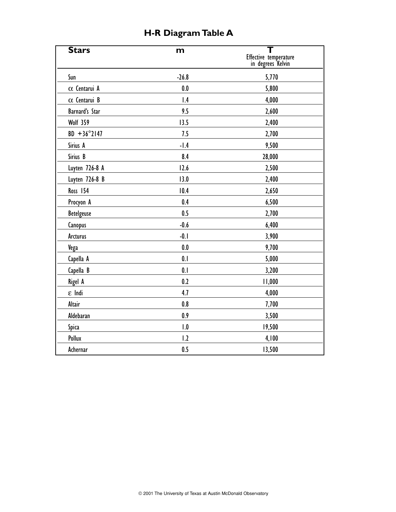| <b>Stars</b>          | m       | Ŧ                                          |  |
|-----------------------|---------|--------------------------------------------|--|
|                       |         | Effective temperature<br>in degrees Kelvin |  |
| Sun                   | $-26.8$ | 5,770                                      |  |
| $\alpha$ Centarui A   | 0.0     | 5,800                                      |  |
| $\alpha$ Centarui B   | 1.4     | 4,000                                      |  |
| Barnard's Star        | 9.5     | 2,600                                      |  |
| <b>Wolf 359</b>       | 13.5    | 2,400                                      |  |
| $BD + 36^{\circ}2147$ | 7.5     | 2,700                                      |  |
| Sirius A              | $-1.4$  | 9,500                                      |  |
| Sirius B              | 8.4     | 28,000                                     |  |
| Luyten 726-8 A        | 12.6    | 2,500                                      |  |
| Luyten 726-8 B        | 13.0    | 2,400                                      |  |
| Ross 154              | 10.4    | 2,650                                      |  |
| Procyon A             | 0.4     | 6,500                                      |  |
| Betelgeuse            | 0.5     | 2,700                                      |  |
| Canopus               | $-0.6$  | 6,400                                      |  |
| <b>Arcturus</b>       | $-0.1$  | 3,900                                      |  |
| Vega                  | 0.0     | 9,700                                      |  |
| Capella A             | 0.1     | 5,000                                      |  |
| Capella B             | 0.1     | 3,200                                      |  |
| Rigel A               | 0.2     | 11,000                                     |  |
| $\epsilon$ Indi       | 4.7     | 4,000                                      |  |
| <b>Altair</b>         | 0.8     | 7,700                                      |  |
| Aldebaran             | 0.9     | 3,500                                      |  |
| Spica                 | 1.0     | 19,500                                     |  |
| Pollux                | 1.2     | 4,100                                      |  |
| Achernar              | 0.5     | 13,500                                     |  |

# **H-R Diagram Table A**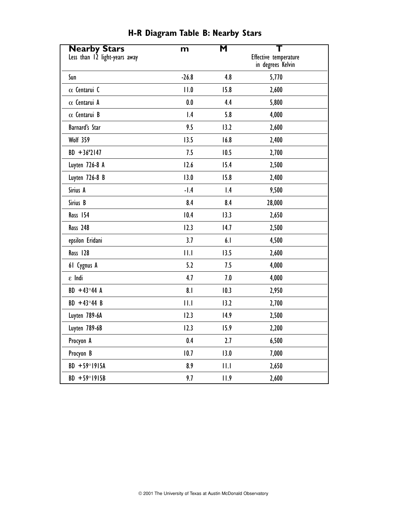| <b>Nearby Stars</b>           | m       | $\overline{\mathsf{M}}$ | т                     |
|-------------------------------|---------|-------------------------|-----------------------|
| Less than 12 light-years away |         |                         | Effective temperature |
|                               |         |                         | in degrees Kelvin     |
| Sun                           | $-26.8$ | 4.8                     | 5,770                 |
| $\alpha$ Centarui C           | 11.0    | 15.8                    | 2,600                 |
| $\alpha$ Centarui A           | 0.0     | 4.4                     | 5,800                 |
| $\alpha$ Centarui B           | 1.4     | 5.8                     | 4,000                 |
| Barnard's Star                | 9.5     | 13.2                    | 2,600                 |
| <b>Wolf 359</b>               | 13.5    | 16.8                    | 2,400                 |
| $BD + 36°2147$                | 7.5     | 10.5                    | 2,700                 |
| Luyten 726-8 A                | 12.6    | 15.4                    | 2,500                 |
| Luyten 726-8 B                | 13.0    | 15.8                    | 2,400                 |
| Sirius A                      | $-1.4$  | 1.4                     | 9,500                 |
| Sirius B                      | 8.4     | 8.4                     | 28,000                |
| Ross 154                      | 10.4    | 13.3                    | 2,650                 |
| <b>Ross 248</b>               | 12.3    | 14.7                    | 2,500                 |
| epsilon Eridani               | 3.7     | 6.1                     | 4,500                 |
| Ross 128                      | 11.1    | 13.5                    | 2,600                 |
| 61 Cygnus A                   | 5.2     | 7.5                     | 4,000                 |
| $\varepsilon$ Indi            | 4.7     | 7.0                     | 4,000                 |
| $BD + 43^{\circ}44 A$         | 8.1     | 10.3                    | 2,950                 |
| $BD + 43°44 B$                | 11.1    | 13.2                    | 2,700                 |
| Luyten 789-6A                 | 12.3    | 14.9                    | 2,500                 |
| Luyten 789-6B                 | 12.3    | 15.9                    | 2,200                 |
| Procyon A                     | 0.4     | 2.7                     | 6,500                 |
| Procyon B                     | 10.7    | 13.0                    | 7,000                 |
| $BD + 59°1915A$               | 8.9     | 11.1                    | 2,650                 |
| $BD + 59°1915B$               | 9.7     | 11.9                    | 2,600                 |

# **H-R Diagram Table B: Nearby Stars**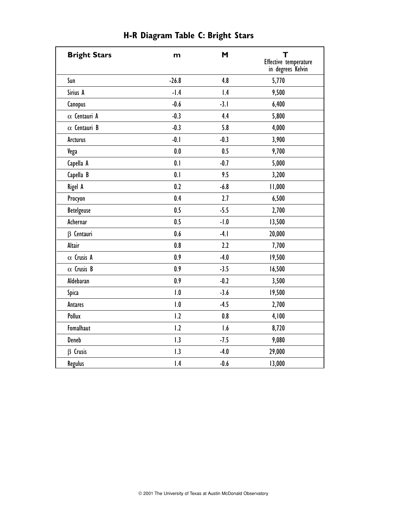| <b>Bright Stars</b> | m       | M      | T<br>Effective temperature<br>in degrees Kelvin |
|---------------------|---------|--------|-------------------------------------------------|
| Sun                 | $-26.8$ | 4.8    | 5,770                                           |
| Sirius A            | $-1.4$  | 1.4    | 9,500                                           |
| Canopus             | $-0.6$  | $-3.1$ | 6,400                                           |
| $\alpha$ Centauri A | $-0.3$  | 4.4    | 5,800                                           |
| $\alpha$ Centauri B | $-0.3$  | 5.8    | 4,000                                           |
| <b>Arcturus</b>     | $-0.1$  | $-0.3$ | 3,900                                           |
| Vega                | 0.0     | 0.5    | 9,700                                           |
| Capella A           | 0.1     | $-0.7$ | 5,000                                           |
| Capella B           | 0.1     | 9.5    | 3,200                                           |
| Rigel A             | 0.2     | $-6.8$ | 11,000                                          |
| Procyon             | 0.4     | 2.7    | 6,500                                           |
| <b>Betelgeuse</b>   | 0.5     | $-5.5$ | 2,700                                           |
| Achernar            | 0.5     | $-1.0$ | 13,500                                          |
| $\beta$ Centauri    | 0.6     | $-4.1$ | 20,000                                          |
| Altair              | 0.8     | 2.2    | 7,700                                           |
| $\alpha$ Crusis A   | 0.9     | $-4.0$ | 19,500                                          |
| $\alpha$ Crusis B   | 0.9     | $-3.5$ | 16,500                                          |
| Aldebaran           | 0.9     | $-0.2$ | 3,500                                           |
| Spica               | 1.0     | $-3.6$ | 19,500                                          |
| Antares             | 1.0     | $-4.5$ | 2,700                                           |
| Pollux              | 1.2     | 0.8    | 4,100                                           |
| Fomalhaut           | 1.2     | 1.6    | 8,720                                           |
| Deneb               | 1.3     | $-7.5$ | 9,080                                           |
| $\beta$ Crusis      | 1.3     | $-4.0$ | 29,000                                          |
| Regulus             | 1.4     | $-0.6$ | 13,000                                          |

# **H-R Diagram Table C: Bright Stars**